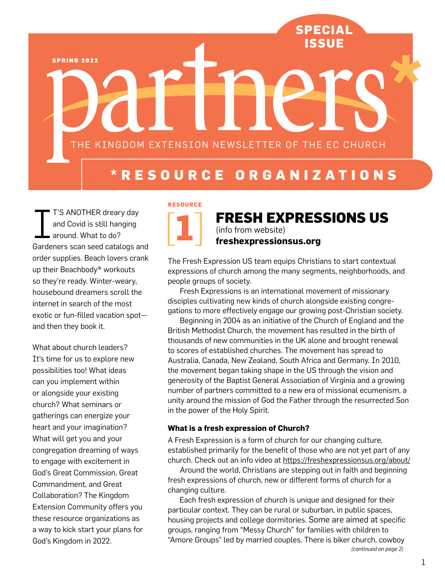**Special IssuE**

SPRING 2022

THE KINGDOM EXTENSION NEWSLETTER OF THE EC CHURCH

# **\* R esour c e O r g a ni zat ions**

I T'S ANOTHER dreary day and Covid is still hanging around. What to do? Gardeners scan seed catalogs and order supplies. Beach lovers crank up their Beachbody® workouts so they're ready. Winter-weary, housebound dreamers scroll the internet in search of the most exotic or fun-filled vacation spot and then they book it.

What about church leaders? It's time for us to explore new possibilities too! What ideas can you implement within or alongside your existing church? What seminars or gatherings can energize your heart and your imagination? What will get you and your congregation dreaming of ways to engage with excitement in God's Great Commission, Great Commandment, and Great Collaboration? The Kingdom Extension Community offers you these resource organizations as a way to kick start your plans for God's Kingdom in 2022.



## **FRESH EXPRESSIONS US**  (info from website) **freshexpressionsus.org**

The Fresh Expression US team equips Christians to start contextual expressions of church among the many segments, neighborhoods, and people groups of society.

Fresh Expressions is an international movement of missionary disciples cultivating new kinds of church alongside existing congregations to more effectively engage our growing post-Christian society.

Beginning in 2004 as an initiative of the Church of England and the British Methodist Church, the movement has resulted in the birth of thousands of new communities in the UK alone and brought renewal to scores of established churches. The movement has spread to Australia, Canada, New Zealand, South Africa and Germany. In 2010, the movement began taking shape in the US through the vision and generosity of the Baptist General Association of Virginia and a growing number of partners committed to a new era of missional ecumenism, a unity around the mission of God the Father through the resurrected Son in the power of the Holy Spirit.

#### **What is a fresh expression of Church?**

A Fresh Expression is a form of church for our changing culture, established primarily for the benefit of those who are not yet part of any church. Check out an info video at https://freshexpressionsus.org/about/

Around the world, Christians are stepping out in faith and beginning fresh expressions of church, new or different forms of church for a changing culture.

Each fresh expression of church is unique and designed for their particular context. They can be rural or suburban, in public spaces, housing projects and college dormitories. Some are aimed at specific groups, ranging from "Messy Church" for families with children to "Amore Groups" led by married couples. There is biker church, cowboy *(continued on page 2)*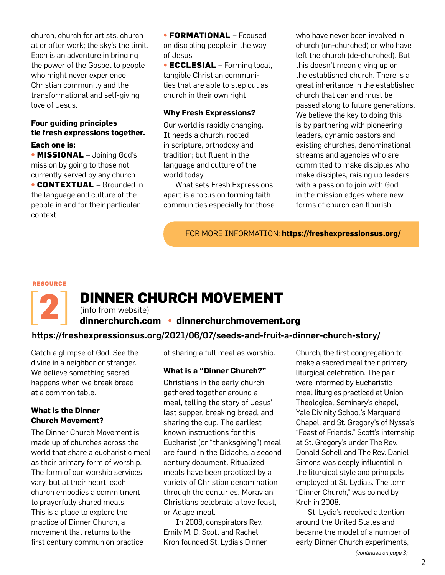church, church for artists, church at or after work; the sky's the limit. Each is an adventure in bringing the power of the Gospel to people who might never experience Christian community and the transformational and self-giving love of Jesus.

### **Four guiding principles tie fresh expressions together.**

#### **Each one is:**

• **Missional** – Joining God's mission by going to those not currently served by any church

**• CONTEXTUAL** – Grounded in the language and culture of the people in and for their particular context

• **Formational** – Focused on discipling people in the way of Jesus

• **Ecclesial** – Forming local, tangible Christian communities that are able to step out as church in their own right

#### **Why Fresh Expressions?**

Our world is rapidly changing. It needs a church, rooted in scripture, orthodoxy and tradition; but fluent in the language and culture of the world today.

 What sets Fresh Expressions apart is a focus on forming faith communities especially for those who have never been involved in church (un-churched) or who have left the church (de-churched). But this doesn't mean giving up on the established church. There is a great inheritance in the established church that can and must be passed along to future generations. We believe the key to doing this is by partnering with pioneering leaders, dynamic pastors and existing churches, denominational streams and agencies who are committed to make disciples who make disciples, raising up leaders with a passion to join with God in the mission edges where new forms of church can flourish.

For more information: **https://freshexpressionsus.org/**

#### **Resource**

[**2**]

## **DINNER CHURCH MOVEMENT**

(info from website)

#### **dinnerchurch.com • dinnerchurchmovement.org**

#### https://freshexpressionsus.org/2021/06/07/seeds-and-fruit-a-dinner-church-story/

Catch a glimpse of God. See the divine in a neighbor or stranger. We believe something sacred happens when we break bread at a common table.

#### **What is the Dinner Church Movement?**

The Dinner Church Movement is made up of churches across the world that share a eucharistic meal as their primary form of worship. The form of our worship services vary, but at their heart, each church embodies a commitment to prayerfully shared meals. This is a place to explore the practice of Dinner Church, a movement that returns to the first century communion practice

of sharing a full meal as worship.

#### **What is a "Dinner Church?"**

Christians in the early church gathered together around a meal, telling the story of Jesus' last supper, breaking bread, and sharing the cup. The earliest known instructions for this Eucharist (or "thanksgiving") meal are found in the Didache, a second century document. Ritualized meals have been practiced by a variety of Christian denomination through the centuries. Moravian Christians celebrate a love feast, or Agape meal.

In 2008, conspirators Rev. Emily M. D. Scott and Rachel Kroh founded St. Lydia's Dinner

Church, the first congregation to make a sacred meal their primary liturgical celebration. The pair were informed by Eucharistic meal liturgies practiced at Union Theological Seminary's chapel, Yale Divinity School's Marquand Chapel, and St. Gregory's of Nyssa's "Feast of Friends." Scott's internship at St. Gregory's under The Rev. Donald Schell and The Rev. Daniel Simons was deeply influential in the liturgical style and principals employed at St. Lydia's. The term "Dinner Church," was coined by Kroh in 2008.

St. Lydia's received attention around the United States and became the model of a number of early Dinner Church experiments,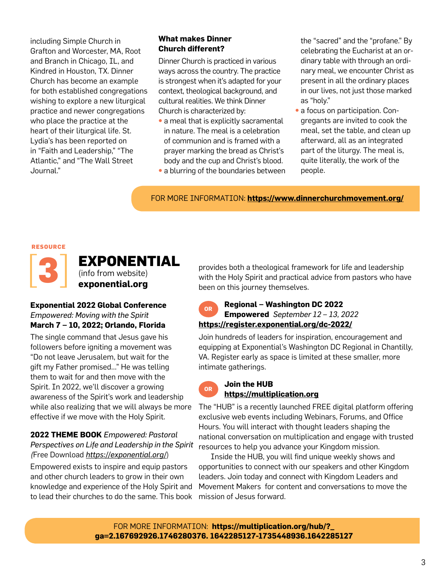including Simple Church in Grafton and Worcester, MA, Root and Branch in Chicago, IL, and Kindred in Houston, TX. Dinner Church has become an example for both established congregations wishing to explore a new liturgical practice and newer congregations who place the practice at the heart of their liturgical life. St. Lydia's has been reported on in "Faith and Leadership," "The Atlantic," and "The Wall Street Journal."

#### **What makes Dinner Church different?**

Dinner Church is practiced in various ways across the country. The practice is strongest when it's adapted for your context, theological background, and cultural realities. We think Dinner Church is characterized by:

- a meal that is explicitly sacramental in nature. The meal is a celebration of communion and is framed with a prayer marking the bread as Christ's body and the cup and Christ's blood.
- a blurring of the boundaries between

the "sacred" and the "profane." By celebrating the Eucharist at an ordinary table with through an ordinary meal, we encounter Christ as present in all the ordinary places in our lives, not just those marked as "holy."

• a focus on participation. Congregants are invited to cook the meal, set the table, and clean up afterward, all as an integrated part of the liturgy. The meal is, quite literally, the work of the people.

For more information: **https://www.dinnerchurchmovement.org/**

#### **Resource**



**EXPONENTIAL** (info from website) **exponential.org**

#### **Exponential 2022 Global Conference** *Empowered: Moving with the Spirit* **March 7 – 10, 2022; Orlando, Florida**

The single command that Jesus gave his followers before igniting a movement was "Do not leave Jerusalem, but wait for the gift my Father promised…" He was telling them to wait for and then move with the Spirit. In 2022, we'll discover a growing awareness of the Spirit's work and leadership while also realizing that we will always be more effective if we move with the Holy Spirit.

#### **2022 THEME BOOK** *Empowered: Pastoral Perspectives on Life and Leadership in the Spirit (*Free Download *https://exponential.org/*)

Empowered exists to inspire and equip pastors and other church leaders to grow in their own knowledge and experience of the Holy Spirit and to lead their churches to do the same. This book

provides both a theological framework for life and leadership with the Holy Spirit and practical advice from pastors who have been on this journey themselves.

#### **Regional – Washington DC 2022 Empowered** *September 12 – 13, 2022* **https://register.exponential.org/dc-2022/ OR**

Join hundreds of leaders for inspiration, encouragement and equipping at Exponential's Washington DC Regional in Chantilly, VA. Register early as space is limited at these smaller, more intimate gatherings.



#### **Join the HUB https://multiplication.org**

The "HUB" is a recently launched FREE digital platform offering exclusive web events including Webinars, Forums, and Office Hours. You will interact with thought leaders shaping the national conversation on multiplication and engage with trusted resources to help you advance your Kingdom mission.

Inside the HUB, you will find unique weekly shows and opportunities to connect with our speakers and other Kingdom leaders. Join today and connect with Kingdom Leaders and Movement Makers for content and conversations to move the mission of Jesus forward.

For more information: **https://multiplication.org/hub/?\_ ga=2.167692926.1746280376. 1642285127-1735448936.1642285127**